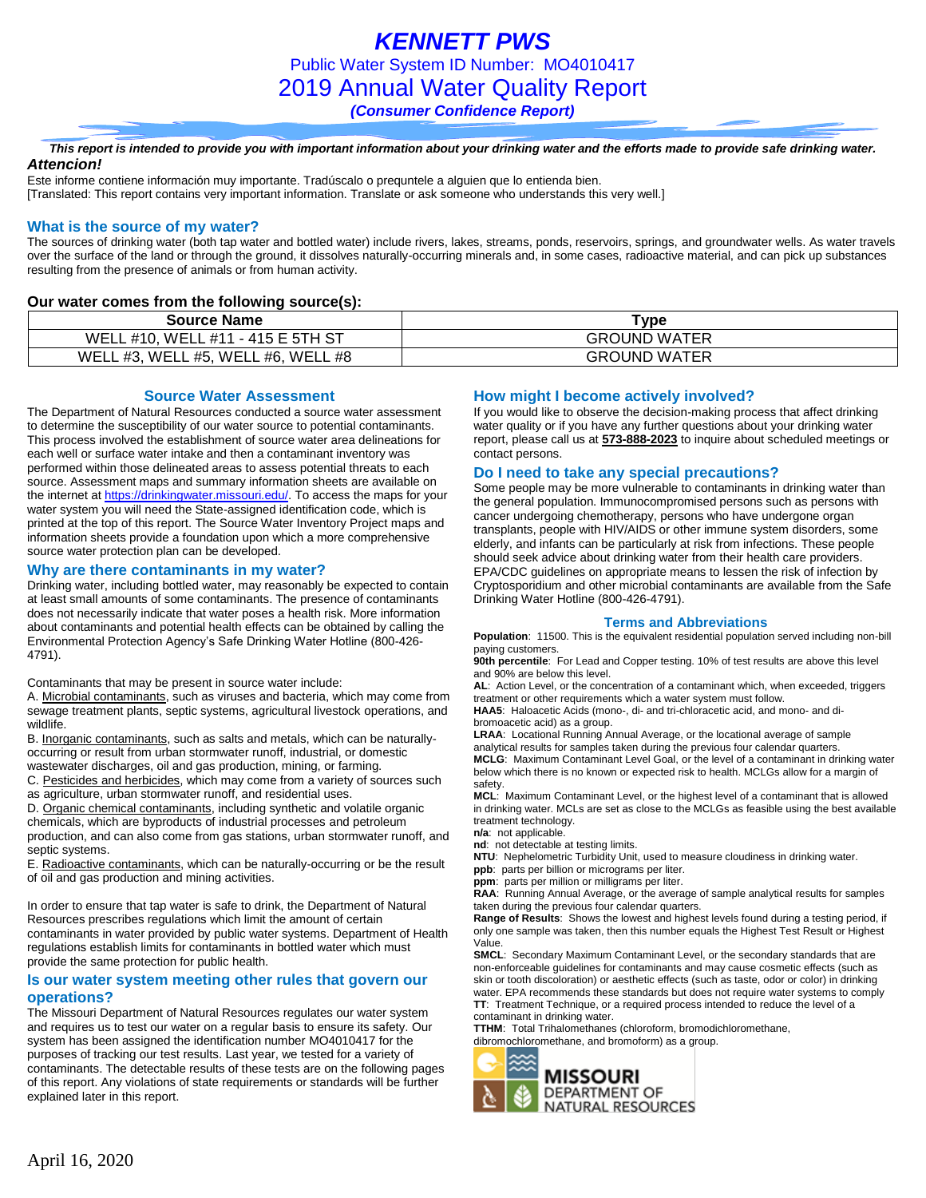### *This report is intended to provide you with important information about your drinking water and the efforts made to provide safe drinking water. Attencion!*

Este informe contiene información muy importante. Tradúscalo o prequntele a alguien que lo entienda bien. [Translated: This report contains very important information. Translate or ask someone who understands this very well.]

## **What is the source of my water?**

The sources of drinking water (both tap water and bottled water) include rivers, lakes, streams, ponds, reservoirs, springs, and groundwater wells. As water travels over the surface of the land or through the ground, it dissolves naturally-occurring minerals and, in some cases, radioactive material, and can pick up substances resulting from the presence of animals or from human activity.

## **Our water comes from the following source(s):**

| <b>Source Name</b>                 | vpe ⊺               |
|------------------------------------|---------------------|
| WELL #10, WELL #11 - 415 E 5TH ST  | <b>GROUND WATER</b> |
| WELL #3, WELL #5, WELL #6, WELL #8 | <b>GROUND WATER</b> |

### **Source Water Assessment**

The Department of Natural Resources conducted a source water assessment to determine the susceptibility of our water source to potential contaminants. This process involved the establishment of source water area delineations for each well or surface water intake and then a contaminant inventory was performed within those delineated areas to assess potential threats to each source. Assessment maps and summary information sheets are available on the internet a[t https://drinkingwater.missouri.edu/.](https://drinkingwater.missouri.edu/) To access the maps for your water system you will need the State-assigned identification code, which is printed at the top of this report. The Source Water Inventory Project maps and information sheets provide a foundation upon which a more comprehensive source water protection plan can be developed.

## **Why are there contaminants in my water?**

Drinking water, including bottled water, may reasonably be expected to contain at least small amounts of some contaminants. The presence of contaminants does not necessarily indicate that water poses a health risk. More information about contaminants and potential health effects can be obtained by calling the Environmental Protection Agency's Safe Drinking Water Hotline (800-426- 4791).

Contaminants that may be present in source water include:

A. Microbial contaminants, such as viruses and bacteria, which may come from sewage treatment plants, septic systems, agricultural livestock operations, and wildlife.

B. Inorganic contaminants, such as salts and metals, which can be naturallyoccurring or result from urban stormwater runoff, industrial, or domestic wastewater discharges, oil and gas production, mining, or farming.

C. Pesticides and herbicides, which may come from a variety of sources such as agriculture, urban stormwater runoff, and residential uses.

D. Organic chemical contaminants, including synthetic and volatile organic chemicals, which are byproducts of industrial processes and petroleum production, and can also come from gas stations, urban stormwater runoff, and septic systems.

E. Radioactive contaminants, which can be naturally-occurring or be the result of oil and gas production and mining activities.

In order to ensure that tap water is safe to drink, the Department of Natural Resources prescribes regulations which limit the amount of certain contaminants in water provided by public water systems. Department of Health regulations establish limits for contaminants in bottled water which must provide the same protection for public health.

## **Is our water system meeting other rules that govern our operations?**

The Missouri Department of Natural Resources regulates our water system and requires us to test our water on a regular basis to ensure its safety. Our system has been assigned the identification number MO4010417 for the purposes of tracking our test results. Last year, we tested for a variety of contaminants. The detectable results of these tests are on the following pages of this report. Any violations of state requirements or standards will be further explained later in this report.

## **How might I become actively involved?**

If you would like to observe the decision-making process that affect drinking water quality or if you have any further questions about your drinking water report, please call us at **573-888-2023** to inquire about scheduled meetings or contact persons.

## **Do I need to take any special precautions?**

Some people may be more vulnerable to contaminants in drinking water than the general population. Immunocompromised persons such as persons with cancer undergoing chemotherapy, persons who have undergone organ transplants, people with HIV/AIDS or other immune system disorders, some elderly, and infants can be particularly at risk from infections. These people should seek advice about drinking water from their health care providers. EPA/CDC guidelines on appropriate means to lessen the risk of infection by Cryptosporidium and other microbial contaminants are available from the Safe Drinking Water Hotline (800-426-4791).

#### **Terms and Abbreviations**

**Population**: 11500. This is the equivalent residential population served including non-bill paying customers.

**90th percentile**: For Lead and Copper testing. 10% of test results are above this level and 90% are below this level.

**AL**: Action Level, or the concentration of a contaminant which, when exceeded, triggers treatment or other requirements which a water system must follow.

**HAA5**: Haloacetic Acids (mono-, di- and tri-chloracetic acid, and mono- and dibromoacetic acid) as a group.

**LRAA**: Locational Running Annual Average, or the locational average of sample analytical results for samples taken during the previous four calendar quarters. **MCLG**: Maximum Contaminant Level Goal, or the level of a contaminant in drinking water below which there is no known or expected risk to health. MCLGs allow for a margin of safety.

**MCL**: Maximum Contaminant Level, or the highest level of a contaminant that is allowed in drinking water. MCLs are set as close to the MCLGs as feasible using the best available treatment technology.

**n/a**: not applicable.

**nd**: not detectable at testing limits.

**NTU**: Nephelometric Turbidity Unit, used to measure cloudiness in drinking water.

**ppb**: parts per billion or micrograms per liter. **ppm**: parts per million or milligrams per liter.

**RAA**: Running Annual Average, or the average of sample analytical results for samples taken during the previous four calendar quarters.

**Range of Results**: Shows the lowest and highest levels found during a testing period, if only one sample was taken, then this number equals the Highest Test Result or Highest Value.

**SMCL**: Secondary Maximum Contaminant Level, or the secondary standards that are non-enforceable guidelines for contaminants and may cause cosmetic effects (such as skin or tooth discoloration) or aesthetic effects (such as taste, odor or color) in drinking water. EPA recommends these standards but does not require water systems to comply **TT**: Treatment Technique, or a required process intended to reduce the level of a contaminant in drinking water.

**TTHM**: Total Trihalomethanes (chloroform, bromodichloromethane, dibromochloromethane, and bromoform) as a group.

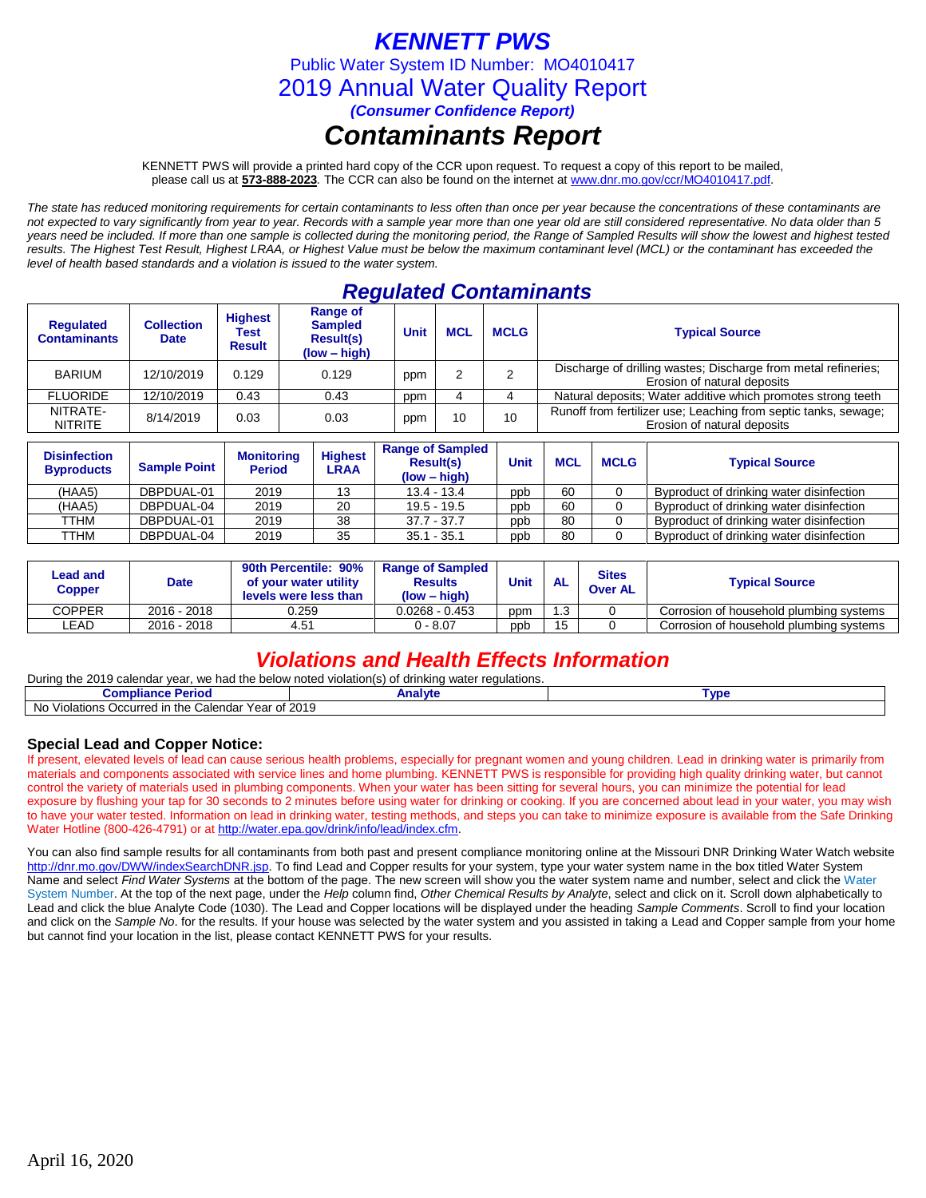# *KENNETT PWS*

Public Water System ID Number: MO4010417

2019 Annual Water Quality Report

*(Consumer Confidence Report)*

# *Contaminants Report*

KENNETT PWS will provide a printed hard copy of the CCR upon request. To request a copy of this report to be mailed, please call us at **573-888-2023***.* The CCR can also be found on the internet at www.dnr.mo.gov/ccr/MO4010417.pdf.

*The state has reduced monitoring requirements for certain contaminants to less often than once per year because the concentrations of these contaminants are not expected to vary significantly from year to year. Records with a sample year more than one year old are still considered representative. No data older than 5 years need be included. If more than one sample is collected during the monitoring period, the Range of Sampled Results will show the lowest and highest tested results. The Highest Test Result, Highest LRAA, or Highest Value must be below the maximum contaminant level (MCL) or the contaminant has exceeded the level of health based standards and a violation is issued to the water system.* 

## *Regulated Contaminants*

| <b>Regulated</b><br><b>Contaminants</b> | <b>Collection</b><br><b>Date</b> | <b>Highest</b><br>Test<br>Result | <b>Range of</b><br><b>Sampled</b><br><b>Result(s)</b><br>$(low - high)$ | <b>Unit</b> | <b>MCL</b> | <b>MCLG</b> | <b>Typical Source</b>                                                                          |
|-----------------------------------------|----------------------------------|----------------------------------|-------------------------------------------------------------------------|-------------|------------|-------------|------------------------------------------------------------------------------------------------|
| <b>BARIUM</b>                           | 12/10/2019                       | 0.129                            | 0.129                                                                   | ppm         |            |             | Discharge of drilling wastes; Discharge from metal refineries;<br>Erosion of natural deposits  |
| <b>FLUORIDE</b>                         | 12/10/2019                       | 0.43                             | 0.43                                                                    | ppm         |            |             | Natural deposits; Water additive which promotes strong teeth                                   |
| NITRATE-<br><b>NITRITE</b>              | 8/14/2019                        | 0.03                             | 0.03                                                                    | ppm         | 10         | 10          | Runoff from fertilizer use; Leaching from septic tanks, sewage;<br>Erosion of natural deposits |

| <b>Disinfection</b><br><b>Byproducts</b> | <b>Sample Point</b> | <b>Monitoring</b><br><b>Period</b> | <b>Highest</b><br><b>LRAA</b> | <b>Range of Sampled</b><br><b>Result(s)</b><br>$(low - high)$ | Unit | <b>MCL</b> | <b>MCLG</b> | <b>Typical Source</b>                    |
|------------------------------------------|---------------------|------------------------------------|-------------------------------|---------------------------------------------------------------|------|------------|-------------|------------------------------------------|
| (HAA5)                                   | DBPDUAL-01          | 2019                               | 13                            | $13.4 - 13.4$                                                 | ppb  | 60         |             | Byproduct of drinking water disinfection |
| (HAA5)                                   | DBPDUAL-04          | 2019                               | 20                            | $19.5 - 19.5$                                                 | ppb  | 60         |             | Byproduct of drinking water disinfection |
| <b>TTHM</b>                              | DBPDUAL-01          | 2019                               | 38                            | $37.7 - 37.7$                                                 | ppb  | 80         |             | Byproduct of drinking water disinfection |
| TTHM                                     | DBPDUAL-04          | 2019                               | 35                            | $35.1 - 35.1$                                                 | ppb  | 80         |             | Byproduct of drinking water disinfection |

| Lead and<br>Copper | <b>Date</b> | 90th Percentile: 90%<br>of your water utility<br>levels were less than | <b>Range of Sampled</b><br><b>Results</b><br>$(low - high)$ | <b>Unit</b><br><b>AL</b> |    | <b>Sites</b><br><b>Over AL</b> | <b>Typical Source</b>                   |
|--------------------|-------------|------------------------------------------------------------------------|-------------------------------------------------------------|--------------------------|----|--------------------------------|-----------------------------------------|
| <b>COPPER</b>      | 2016 - 2018 | 0.259                                                                  | $0.0268 - 0.453$                                            | ppm                      | .3 |                                | Corrosion of household plumbing systems |
| LEAD.              | 2016 - 2018 | 4.51                                                                   | 0 - 8.07                                                    | ppb                      | 15 |                                | Corrosion of household plumbing systems |

## *Violations and Health Effects Information*

| During the 2019<br>.J 2019 calendar year. <sup>17</sup> ∵<br>e had the below noted violation(s) of a<br>water regulations.<br>we<br><sup>.</sup> drinkina |         |             |  |  |  |  |
|-----------------------------------------------------------------------------------------------------------------------------------------------------------|---------|-------------|--|--|--|--|
| Compliance F<br>⊧ Period                                                                                                                                  | Analyte | <b>Tvpe</b> |  |  |  |  |
| 2019<br>Calendar Year of 1<br>No.<br>Occurred in the<br>Violations (                                                                                      |         |             |  |  |  |  |

## **Special Lead and Copper Notice:**

If present, elevated levels of lead can cause serious health problems, especially for pregnant women and young children. Lead in drinking water is primarily from materials and components associated with service lines and home plumbing. KENNETT PWS is responsible for providing high quality drinking water, but cannot control the variety of materials used in plumbing components. When your water has been sitting for several hours, you can minimize the potential for lead exposure by flushing your tap for 30 seconds to 2 minutes before using water for drinking or cooking. If you are concerned about lead in your water, you may wish to have your water tested. Information on lead in drinking water, testing methods, and steps you can take to minimize exposure is available from the Safe Drinking Water Hotline (800-426-4791) or at [http://water.epa.gov/drink/info/lead/index.cfm.](http://water.epa.gov/drink/info/lead/index.cfm)

You can also find sample results for all contaminants from both past and present compliance monitoring online at the Missouri DNR Drinking Water Watch website [http://dnr.mo.gov/DWW/indexSearchDNR.jsp.](http://dnr.mo.gov/DWW/indexSearchDNR.jsp) To find Lead and Copper results for your system, type your water system name in the box titled Water System Name and select *Find Water Systems* at the bottom of the page. The new screen will show you the water system name and number, select and click the Water System Number. At the top of the next page, under the *Help* column find, *Other Chemical Results by Analyte*, select and click on it. Scroll down alphabetically to Lead and click the blue Analyte Code (1030). The Lead and Copper locations will be displayed under the heading *Sample Comments*. Scroll to find your location and click on the *Sample No*. for the results. If your house was selected by the water system and you assisted in taking a Lead and Copper sample from your home but cannot find your location in the list, please contact KENNETT PWS for your results.